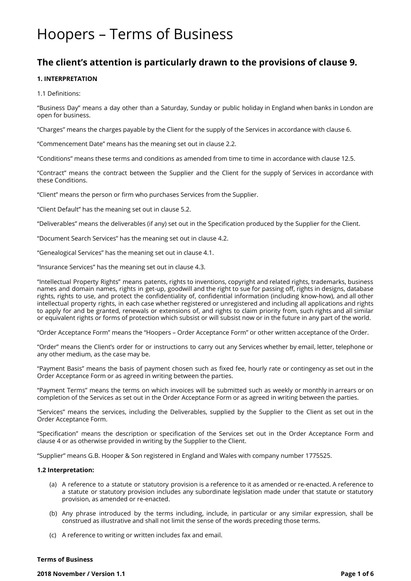# Hoopers – Terms of Business

# **The client's attention is particularly drawn to the provisions of clause 9.**

# **1. INTERPRETATION**

1.1 Definitions:

"Business Day" means a day other than a Saturday, Sunday or public holiday in England when banks in London are open for business.

"Charges" means the charges payable by the Client for the supply of the Services in accordance with clause 6.

"Commencement Date" means has the meaning set out in clause 2.2.

"Conditions" means these terms and conditions as amended from time to time in accordance with clause 12.5.

"Contract" means the contract between the Supplier and the Client for the supply of Services in accordance with these Conditions.

"Client" means the person or firm who purchases Services from the Supplier.

"Client Default" has the meaning set out in clause 5.2.

"Deliverables" means the deliverables (if any) set out in the Specification produced by the Supplier for the Client.

"Document Search Services" has the meaning set out in clause 4.2.

"Genealogical Services" has the meaning set out in clause 4.1.

"Insurance Services" has the meaning set out in clause 4.3.

"Intellectual Property Rights" means patents, rights to inventions, copyright and related rights, trademarks, business names and domain names, rights in get-up, goodwill and the right to sue for passing off, rights in designs, database rights, rights to use, and protect the confidentiality of, confidential information (including know-how), and all other intellectual property rights, in each case whether registered or unregistered and including all applications and rights to apply for and be granted, renewals or extensions of, and rights to claim priority from, such rights and all similar or equivalent rights or forms of protection which subsist or will subsist now or in the future in any part of the world.

"Order Acceptance Form" means the "Hoopers – Order Acceptance Form" or other written acceptance of the Order.

"Order" means the Client's order for or instructions to carry out any Services whether by email, letter, telephone or any other medium, as the case may be.

"Payment Basis" means the basis of payment chosen such as fixed fee, hourly rate or contingency as set out in the Order Acceptance Form or as agreed in writing between the parties.

"Payment Terms" means the terms on which invoices will be submitted such as weekly or monthly in arrears or on completion of the Services as set out in the Order Acceptance Form or as agreed in writing between the parties.

"Services" means the services, including the Deliverables, supplied by the Supplier to the Client as set out in the Order Acceptance Form.

"Specification" means the description or specification of the Services set out in the Order Acceptance Form and clause 4 or as otherwise provided in writing by the Supplier to the Client.

"Supplier" means G.B. Hooper & Son registered in England and Wales with company number 1775525.

# **1.2 Interpretation:**

- (a) A reference to a statute or statutory provision is a reference to it as amended or re-enacted. A reference to a statute or statutory provision includes any subordinate legislation made under that statute or statutory provision, as amended or re-enacted.
- (b) Any phrase introduced by the terms including, include, in particular or any similar expression, shall be construed as illustrative and shall not limit the sense of the words preceding those terms.
- (c) A reference to writing or written includes fax and email.

# **Terms of Business**

**2018 November / Version 1.1 Page 1 of 6**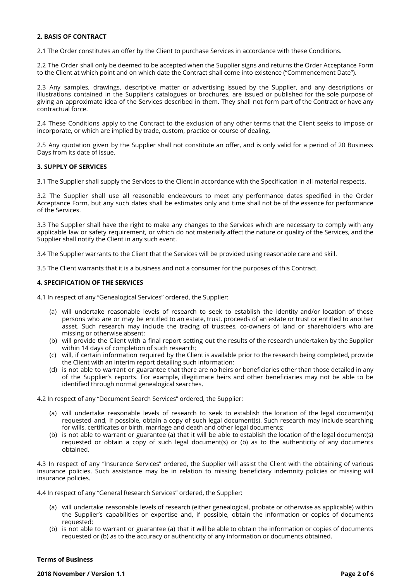# **2. BASIS OF CONTRACT**

2.1 The Order constitutes an offer by the Client to purchase Services in accordance with these Conditions.

2.2 The Order shall only be deemed to be accepted when the Supplier signs and returns the Order Acceptance Form to the Client at which point and on which date the Contract shall come into existence ("Commencement Date").

2.3 Any samples, drawings, descriptive matter or advertising issued by the Supplier, and any descriptions or illustrations contained in the Supplier's catalogues or brochures, are issued or published for the sole purpose of giving an approximate idea of the Services described in them. They shall not form part of the Contract or have any contractual force.

2.4 These Conditions apply to the Contract to the exclusion of any other terms that the Client seeks to impose or incorporate, or which are implied by trade, custom, practice or course of dealing.

2.5 Any quotation given by the Supplier shall not constitute an offer, and is only valid for a period of 20 Business Days from its date of issue.

#### **3. SUPPLY OF SERVICES**

3.1 The Supplier shall supply the Services to the Client in accordance with the Specification in all material respects.

3.2 The Supplier shall use all reasonable endeavours to meet any performance dates specified in the Order Acceptance Form, but any such dates shall be estimates only and time shall not be of the essence for performance of the Services.

3.3 The Supplier shall have the right to make any changes to the Services which are necessary to comply with any applicable law or safety requirement, or which do not materially affect the nature or quality of the Services, and the Supplier shall notify the Client in any such event.

3.4 The Supplier warrants to the Client that the Services will be provided using reasonable care and skill.

3.5 The Client warrants that it is a business and not a consumer for the purposes of this Contract.

#### **4. SPECIFICATION OF THE SERVICES**

4.1 In respect of any "Genealogical Services" ordered, the Supplier:

- (a) will undertake reasonable levels of research to seek to establish the identity and/or location of those persons who are or may be entitled to an estate, trust, proceeds of an estate or trust or entitled to another asset. Such research may include the tracing of trustees, co-owners of land or shareholders who are missing or otherwise absent;
- (b) will provide the Client with a final report setting out the results of the research undertaken by the Supplier within 14 days of completion of such research;
- (c) will, if certain information required by the Client is available prior to the research being completed, provide the Client with an interim report detailing such information;
- (d) is not able to warrant or guarantee that there are no heirs or beneficiaries other than those detailed in any of the Supplier's reports. For example, illegitimate heirs and other beneficiaries may not be able to be identified through normal genealogical searches.

4.2 In respect of any "Document Search Services" ordered, the Supplier:

- (a) will undertake reasonable levels of research to seek to establish the location of the legal document(s) requested and, if possible, obtain a copy of such legal document(s). Such research may include searching for wills, certificates or birth, marriage and death and other legal documents;
- (b) is not able to warrant or guarantee (a) that it will be able to establish the location of the legal document(s) requested or obtain a copy of such legal document(s) or (b) as to the authenticity of any documents obtained.

4.3 In respect of any "Insurance Services" ordered, the Supplier will assist the Client with the obtaining of various insurance policies. Such assistance may be in relation to missing beneficiary indemnity policies or missing will insurance policies.

4.4 In respect of any "General Research Services" ordered, the Supplier:

- (a) will undertake reasonable levels of research (either genealogical, probate or otherwise as applicable) within the Supplier's capabilities or expertise and, if possible, obtain the information or copies of documents requested;
- (b) is not able to warrant or guarantee (a) that it will be able to obtain the information or copies of documents requested or (b) as to the accuracy or authenticity of any information or documents obtained.

## **Terms of Business**

**2018 November / Version 1.1 Page 2 of 6**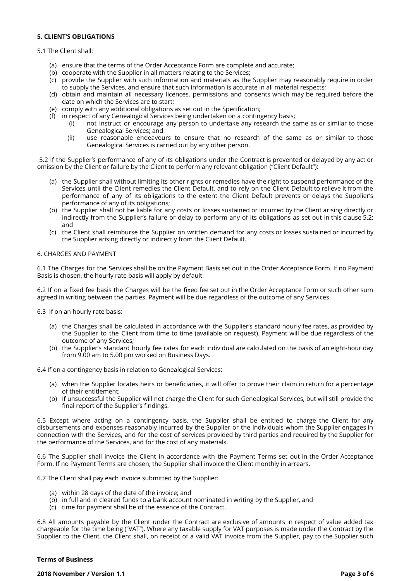# **5. CLIENT'S OBLIGATIONS**

### 5.1 The Client shall:

- (a) ensure that the terms of the Order Acceptance Form are complete and accurate;
- (b) cooperate with the Supplier in all matters relating to the Services;
- (c) provide the Supplier with such information and materials as the Supplier may reasonably require in order to supply the Services, and ensure that such information is accurate in all material respects;
- (d) obtain and maintain all necessary licences, permissions and consents which may be required before the date on which the Services are to start;
- (e) comply with any additional obligations as set out in the Specification;
- (f) in respect of any Genealogical Services being undertaken on a contingency basis;
	- (i) not instruct or encourage any person to undertake any research the same as or similar to those Genealogical Services; and
	- (ii) use reasonable endeavours to ensure that no research of the same as or similar to those Genealogical Services is carried out by any other person.

5.2 If the Supplier's performance of any of its obligations under the Contract is prevented or delayed by any act or omission by the Client or failure by the Client to perform any relevant obligation ("Client Default"):

- (a) the Supplier shall without limiting its other rights or remedies have the right to suspend performance of the Services until the Client remedies the Client Default, and to rely on the Client Default to relieve it from the performance of any of its obligations to the extent the Client Default prevents or delays the Supplier's performance of any of its obligations;
- (b) the Supplier shall not be liable for any costs or losses sustained or incurred by the Client arising directly or indirectly from the Supplier's failure or delay to perform any of its obligations as set out in this clause 5.2; and
- (c) the Client shall reimburse the Supplier on written demand for any costs or losses sustained or incurred by the Supplier arising directly or indirectly from the Client Default.

#### 6. CHARGES AND PAYMENT

6.1 The Charges for the Services shall be on the Payment Basis set out in the Order Acceptance Form. If no Payment Basis is chosen, the hourly rate basis will apply by default.

6.2 If on a fixed fee basis the Charges will be the fixed fee set out in the Order Acceptance Form or such other sum agreed in writing between the parties. Payment will be due regardless of the outcome of any Services.

6.3 If on an hourly rate basis:

- (a) the Charges shall be calculated in accordance with the Supplier's standard hourly fee rates, as provided by the Supplier to the Client from time to time (available on request). Payment will be due regardless of the outcome of any Services;
- (b) the Supplier's standard hourly fee rates for each individual are calculated on the basis of an eight-hour day from 9.00 am to 5.00 pm worked on Business Days.

6.4 If on a contingency basis in relation to Genealogical Services:

- (a) when the Supplier locates heirs or beneficiaries, it will offer to prove their claim in return for a percentage of their entitlement;
- (b) If unsuccessful the Supplier will not charge the Client for such Genealogical Services, but will still provide the final report of the Supplier's findings.

6.5 Except where acting on a contingency basis, the Supplier shall be entitled to charge the Client for any disbursements and expenses reasonably incurred by the Supplier or the individuals whom the Supplier engages in connection with the Services, and for the cost of services provided by third parties and required by the Supplier for the performance of the Services, and for the cost of any materials.

6.6 The Supplier shall invoice the Client in accordance with the Payment Terms set out in the Order Acceptance Form. If no Payment Terms are chosen, the Supplier shall invoice the Client monthly in arrears.

6.7 The Client shall pay each invoice submitted by the Supplier:

- (a) within 28 days of the date of the invoice; and
- (b) in full and in cleared funds to a bank account nominated in writing by the Supplier, and
- (c) time for payment shall be of the essence of the Contract.

6.8 All amounts payable by the Client under the Contract are exclusive of amounts in respect of value added tax chargeable for the time being ("VAT"). Where any taxable supply for VAT purposes is made under the Contract by the Supplier to the Client, the Client shall, on receipt of a valid VAT invoice from the Supplier, pay to the Supplier such

#### **Terms of Business**

**2018 November / Version 1.1 Page 3 of 6**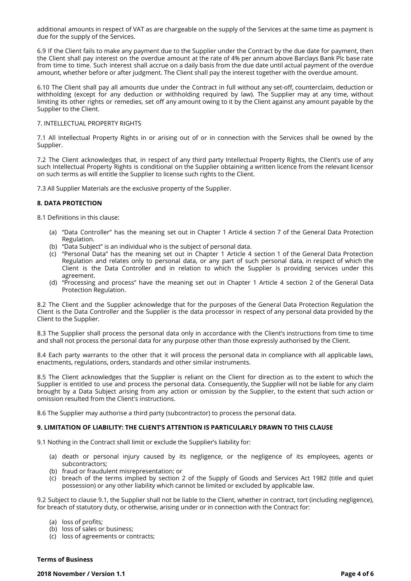additional amounts in respect of VAT as are chargeable on the supply of the Services at the same time as payment is due for the supply of the Services.

6.9 If the Client fails to make any payment due to the Supplier under the Contract by the due date for payment, then the Client shall pay interest on the overdue amount at the rate of 4% per annum above Barclays Bank Plc base rate from time to time. Such interest shall accrue on a daily basis from the due date until actual payment of the overdue amount, whether before or after judgment. The Client shall pay the interest together with the overdue amount.

6.10 The Client shall pay all amounts due under the Contract in full without any set-off, counterclaim, deduction or withholding (except for any deduction or withholding required by law). The Supplier may at any time, without limiting its other rights or remedies, set off any amount owing to it by the Client against any amount payable by the Supplier to the Client.

#### 7. INTELLECTUAL PROPERTY RIGHTS

7.1 All Intellectual Property Rights in or arising out of or in connection with the Services shall be owned by the Supplier.

7.2 The Client acknowledges that, in respect of any third party Intellectual Property Rights, the Client's use of any such Intellectual Property Rights is conditional on the Supplier obtaining a written licence from the relevant licensor on such terms as will entitle the Supplier to license such rights to the Client.

7.3 All Supplier Materials are the exclusive property of the Supplier.

# **8. DATA PROTECTION**

8.1 Definitions in this clause:

- (a) "Data Controller" has the meaning set out in Chapter 1 Article 4 section 7 of the General Data Protection Regulation.
- (b) "Data Subject" is an individual who is the subject of personal data.
- (c) "Personal Data" has the meaning set out in Chapter 1 Article 4 section 1 of the General Data Protection Regulation and relates only to personal data, or any part of such personal data, in respect of which the Client is the Data Controller and in relation to which the Supplier is providing services under this agreement.
- (d) "Processing and process" have the meaning set out in Chapter 1 Article 4 section 2 of the General Data Protection Regulation.

8.2 The Client and the Supplier acknowledge that for the purposes of the General Data Protection Regulation the Client is the Data Controller and the Supplier is the data processor in respect of any personal data provided by the Client to the Supplier.

8.3 The Supplier shall process the personal data only in accordance with the Client's instructions from time to time and shall not process the personal data for any purpose other than those expressly authorised by the Client.

8.4 Each party warrants to the other that it will process the personal data in compliance with all applicable laws, enactments, regulations, orders, standards and other similar instruments.

8.5 The Client acknowledges that the Supplier is reliant on the Client for direction as to the extent to which the Supplier is entitled to use and process the personal data. Consequently, the Supplier will not be liable for any claim brought by a Data Subject arising from any action or omission by the Supplier, to the extent that such action or omission resulted from the Client's instructions.

8.6 The Supplier may authorise a third party (subcontractor) to process the personal data.

# **9. LIMITATION OF LIABILITY: THE CLIENT'S ATTENTION IS PARTICULARLY DRAWN TO THIS CLAUSE**

9.1 Nothing in the Contract shall limit or exclude the Supplier's liability for:

- (a) death or personal injury caused by its negligence, or the negligence of its employees, agents or subcontractors;
- (b) fraud or fraudulent misrepresentation; or
- (c) breach of the terms implied by section 2 of the Supply of Goods and Services Act 1982 (title and quiet possession) or any other liability which cannot be limited or excluded by applicable law.

9.2 Subject to clause 9.1, the Supplier shall not be liable to the Client, whether in contract, tort (including negligence), for breach of statutory duty, or otherwise, arising under or in connection with the Contract for:

- (a) loss of profits;
- (b) loss of sales or business;
- (c) loss of agreements or contracts;

#### **Terms of Business**

**2018 November / Version 1.1 Page 4 of 6**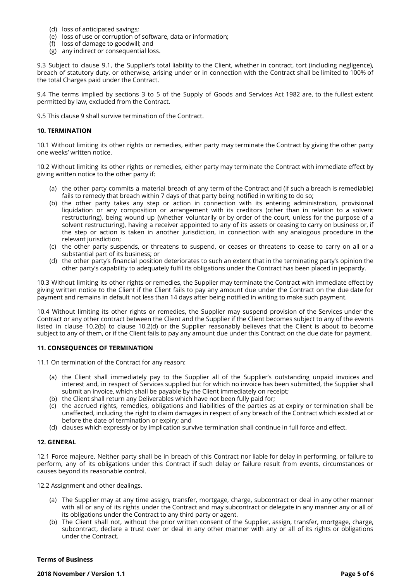- (d) loss of anticipated savings;
- (e) loss of use or corruption of software, data or information;
- (f) loss of damage to goodwill; and
- (g) any indirect or consequential loss.

9.3 Subject to clause 9.1, the Supplier's total liability to the Client, whether in contract, tort (including negligence), breach of statutory duty, or otherwise, arising under or in connection with the Contract shall be limited to 100% of the total Charges paid under the Contract.

9.4 The terms implied by sections 3 to 5 of the Supply of Goods and Services Act 1982 are, to the fullest extent permitted by law, excluded from the Contract.

9.5 This clause 9 shall survive termination of the Contract.

#### **10. TERMINATION**

10.1 Without limiting its other rights or remedies, either party may terminate the Contract by giving the other party one weeks' written notice.

10.2 Without limiting its other rights or remedies, either party may terminate the Contract with immediate effect by giving written notice to the other party if:

- (a) the other party commits a material breach of any term of the Contract and (if such a breach is remediable) fails to remedy that breach within 7 days of that party being notified in writing to do so;
- (b) the other party takes any step or action in connection with its entering administration, provisional liquidation or any composition or arrangement with its creditors (other than in relation to a solvent restructuring), being wound up (whether voluntarily or by order of the court, unless for the purpose of a solvent restructuring), having a receiver appointed to any of its assets or ceasing to carry on business or, if the step or action is taken in another jurisdiction, in connection with any analogous procedure in the relevant jurisdiction;
- (c) the other party suspends, or threatens to suspend, or ceases or threatens to cease to carry on all or a substantial part of its business; or
- (d) the other party's financial position deteriorates to such an extent that in the terminating party's opinion the other party's capability to adequately fulfil its obligations under the Contract has been placed in jeopardy.

10.3 Without limiting its other rights or remedies, the Supplier may terminate the Contract with immediate effect by giving written notice to the Client if the Client fails to pay any amount due under the Contract on the due date for payment and remains in default not less than 14 days after being notified in writing to make such payment.

10.4 Without limiting its other rights or remedies, the Supplier may suspend provision of the Services under the Contract or any other contract between the Client and the Supplier if the Client becomes subject to any of the events listed in clause 10.2(b) to clause 10.2(d) or the Supplier reasonably believes that the Client is about to become subject to any of them, or if the Client fails to pay any amount due under this Contract on the due date for payment.

# **11. CONSEQUENCES OF TERMINATION**

11.1 On termination of the Contract for any reason:

- (a) the Client shall immediately pay to the Supplier all of the Supplier's outstanding unpaid invoices and interest and, in respect of Services supplied but for which no invoice has been submitted, the Supplier shall submit an invoice, which shall be payable by the Client immediately on receipt;
- (b) the Client shall return any Deliverables which have not been fully paid for;
- (c) the accrued rights, remedies, obligations and liabilities of the parties as at expiry or termination shall be unaffected, including the right to claim damages in respect of any breach of the Contract which existed at or before the date of termination or expiry; and
- (d) clauses which expressly or by implication survive termination shall continue in full force and effect.

# **12. GENERAL**

12.1 Force majeure. Neither party shall be in breach of this Contract nor liable for delay in performing, or failure to perform, any of its obligations under this Contract if such delay or failure result from events, circumstances or causes beyond its reasonable control.

12.2 Assignment and other dealings.

- (a) The Supplier may at any time assign, transfer, mortgage, charge, subcontract or deal in any other manner with all or any of its rights under the Contract and may subcontract or delegate in any manner any or all of its obligations under the Contract to any third party or agent.
- (b) The Client shall not, without the prior written consent of the Supplier, assign, transfer, mortgage, charge, subcontract, declare a trust over or deal in any other manner with any or all of its rights or obligations under the Contract.

#### **Terms of Business**

**2018 November / Version 1.1 Page 5 of 6**